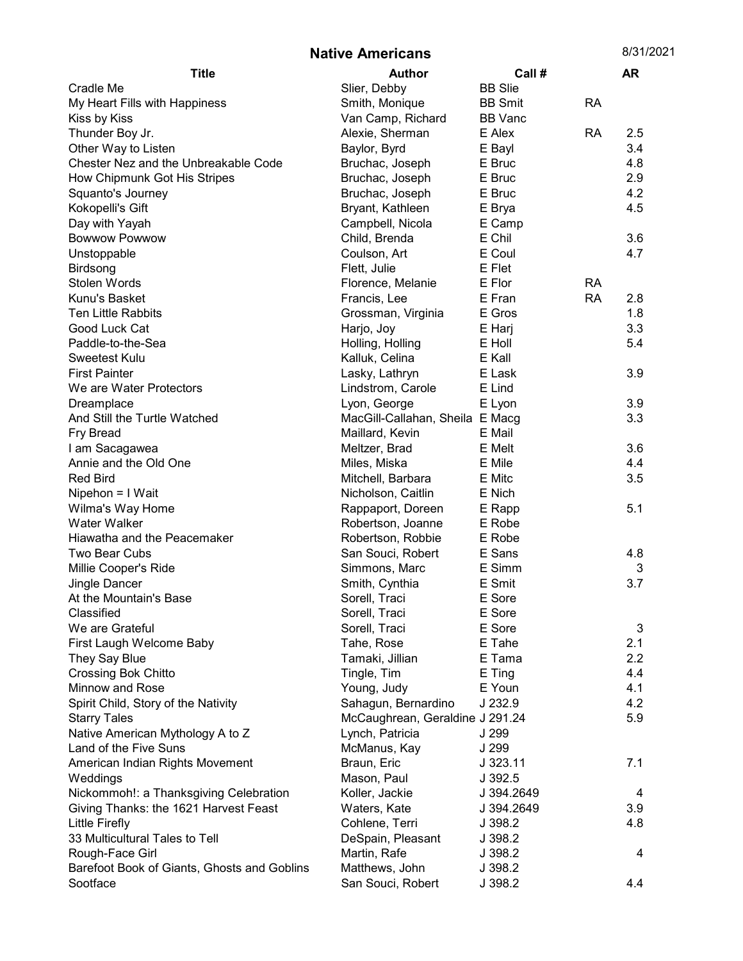Native Americans 8/31/2021

| <b>Title</b>                                | <b>Author</b>                   | Call #         |           | <b>AR</b> |
|---------------------------------------------|---------------------------------|----------------|-----------|-----------|
| Cradle Me                                   | Slier, Debby                    | <b>BB</b> Slie |           |           |
| My Heart Fills with Happiness               | Smith, Monique                  | <b>BB Smit</b> | <b>RA</b> |           |
| Kiss by Kiss                                | Van Camp, Richard               | <b>BB</b> Vanc |           |           |
| Thunder Boy Jr.                             | Alexie, Sherman                 | E Alex         | <b>RA</b> | 2.5       |
| Other Way to Listen                         | Baylor, Byrd                    | E Bayl         |           | 3.4       |
| Chester Nez and the Unbreakable Code        | Bruchac, Joseph                 | E Bruc         |           | 4.8       |
| How Chipmunk Got His Stripes                | Bruchac, Joseph                 | E Bruc         |           | 2.9       |
| Squanto's Journey                           | Bruchac, Joseph                 | E Bruc         |           | 4.2       |
| Kokopelli's Gift                            | Bryant, Kathleen                | E Brya         |           | 4.5       |
| Day with Yayah                              | Campbell, Nicola                | E Camp         |           |           |
| <b>Bowwow Powwow</b>                        | Child, Brenda                   | E Chil         |           | 3.6       |
| Unstoppable                                 | Coulson, Art                    | E Coul         |           | 4.7       |
| <b>Birdsong</b>                             | Flett, Julie                    | E Flet         |           |           |
| Stolen Words                                | Florence, Melanie               | E Flor         | <b>RA</b> |           |
| Kunu's Basket                               | Francis, Lee                    | E Fran         | <b>RA</b> | 2.8       |
| Ten Little Rabbits                          | Grossman, Virginia              | E Gros         |           | 1.8       |
| Good Luck Cat                               | Harjo, Joy                      | E Harj         |           | 3.3       |
| Paddle-to-the-Sea                           | Holling, Holling                | E Holl         |           | 5.4       |
| <b>Sweetest Kulu</b>                        | Kalluk, Celina                  | E Kall         |           |           |
| <b>First Painter</b>                        | Lasky, Lathryn                  | E Lask         |           | 3.9       |
| We are Water Protectors                     | Lindstrom, Carole               | E Lind         |           |           |
| Dreamplace                                  | Lyon, George                    | E Lyon         |           | 3.9       |
| And Still the Turtle Watched                | MacGill-Callahan, Sheila E Macg |                |           | 3.3       |
| Fry Bread                                   | Maillard, Kevin                 | E Mail         |           |           |
| I am Sacagawea                              | Meltzer, Brad                   | E Melt         |           | 3.6       |
| Annie and the Old One                       | Miles, Miska                    | E Mile         |           | 4.4       |
| <b>Red Bird</b>                             | Mitchell, Barbara               | E Mitc         |           | 3.5       |
| Nipehon = I Wait                            | Nicholson, Caitlin              | E Nich         |           |           |
| Wilma's Way Home                            | Rappaport, Doreen               | E Rapp         |           | 5.1       |
| Water Walker                                | Robertson, Joanne               | E Robe         |           |           |
| Hiawatha and the Peacemaker                 | Robertson, Robbie               | E Robe         |           |           |
| Two Bear Cubs                               | San Souci, Robert               | E Sans         |           | 4.8       |
| Millie Cooper's Ride                        | Simmons, Marc                   | E Simm         |           | 3         |
| Jingle Dancer                               | Smith, Cynthia                  | E Smit         |           | 3.7       |
| At the Mountain's Base                      | Sorell, Traci                   | E Sore         |           |           |
| Classified                                  | Sorell, Traci                   | E Sore         |           |           |
| We are Grateful                             | Sorell, Traci                   | E Sore         |           | 3         |
| First Laugh Welcome Baby                    | Tahe, Rose                      | E Tahe         |           | 2.1       |
| They Say Blue                               | Tamaki, Jillian                 | E Tama         |           | 2.2       |
| Crossing Bok Chitto                         | Tingle, Tim                     | E Ting         |           | 4.4       |
| Minnow and Rose                             | Young, Judy                     | E Youn         |           | 4.1       |
| Spirit Child, Story of the Nativity         | Sahagun, Bernardino             | J 232.9        |           | 4.2       |
| <b>Starry Tales</b>                         | McCaughrean, Geraldine J 291.24 |                |           | 5.9       |
| Native American Mythology A to Z            | Lynch, Patricia                 | J 299          |           |           |
| Land of the Five Suns                       | McManus, Kay                    | J 299          |           |           |
| American Indian Rights Movement             | Braun, Eric                     | J 323.11       |           | 7.1       |
| Weddings                                    | Mason, Paul                     | J 392.5        |           |           |
| Nickommoh!: a Thanksgiving Celebration      | Koller, Jackie                  | J 394.2649     |           | 4         |
| Giving Thanks: the 1621 Harvest Feast       | Waters, Kate                    | J 394.2649     |           | 3.9       |
| Little Firefly                              | Cohlene, Terri                  | J 398.2        |           | 4.8       |
| 33 Multicultural Tales to Tell              | DeSpain, Pleasant               | J 398.2        |           |           |
| Rough-Face Girl                             | Martin, Rafe                    | J 398.2        |           | 4         |
| Barefoot Book of Giants, Ghosts and Goblins | Matthews, John                  | J 398.2        |           |           |
| Sootface                                    | San Souci, Robert               | J 398.2        |           | 4.4       |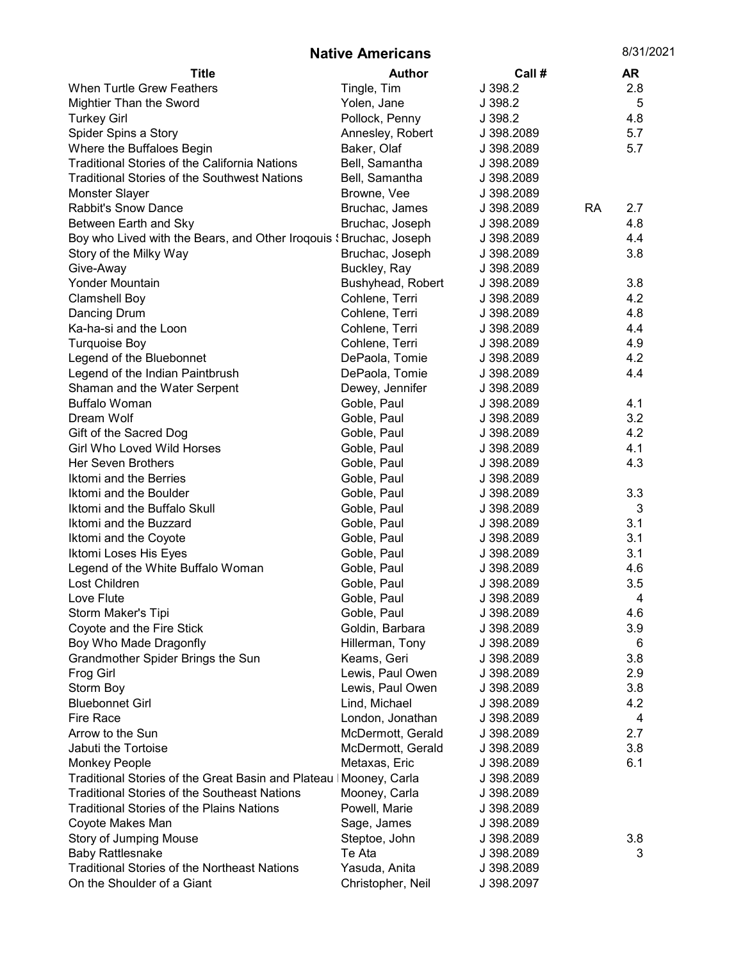| <b>Native Americans</b>                                            |                   |            |           | 8/31/2021 |
|--------------------------------------------------------------------|-------------------|------------|-----------|-----------|
| <b>Title</b>                                                       | <b>Author</b>     | Call #     |           | <b>AR</b> |
| <b>When Turtle Grew Feathers</b>                                   | Tingle, Tim       | J 398.2    |           | 2.8       |
| Mightier Than the Sword                                            | Yolen, Jane       | J 398.2    |           | 5         |
| <b>Turkey Girl</b>                                                 | Pollock, Penny    | J 398.2    |           | 4.8       |
| Spider Spins a Story                                               | Annesley, Robert  | J 398.2089 |           | 5.7       |
| Where the Buffaloes Begin                                          | Baker, Olaf       | J 398.2089 |           | 5.7       |
| <b>Traditional Stories of the California Nations</b>               | Bell, Samantha    | J 398.2089 |           |           |
| <b>Traditional Stories of the Southwest Nations</b>                | Bell, Samantha    | J 398.2089 |           |           |
| Monster Slayer                                                     | Browne, Vee       | J 398.2089 |           |           |
| <b>Rabbit's Snow Dance</b>                                         | Bruchac, James    | J 398.2089 | <b>RA</b> | 2.7       |
| Between Earth and Sky                                              | Bruchac, Joseph   | J 398.2089 |           | 4.8       |
| Boy who Lived with the Bears, and Other Iroqouis (Bruchac, Joseph  |                   | J 398.2089 |           | 4.4       |
| Story of the Milky Way                                             | Bruchac, Joseph   | J 398.2089 |           | 3.8       |
| Give-Away                                                          | Buckley, Ray      | J 398.2089 |           |           |
| Yonder Mountain                                                    | Bushyhead, Robert | J 398.2089 |           | 3.8       |
| <b>Clamshell Boy</b>                                               | Cohlene, Terri    | J 398.2089 |           | 4.2       |
| Dancing Drum                                                       | Cohlene, Terri    | J 398.2089 |           | 4.8       |
| Ka-ha-si and the Loon                                              | Cohlene, Terri    | J 398.2089 |           | 4.4       |
| <b>Turquoise Boy</b>                                               | Cohlene, Terri    | J 398.2089 |           | 4.9       |
| Legend of the Bluebonnet                                           | DePaola, Tomie    | J 398.2089 |           | 4.2       |
| Legend of the Indian Paintbrush                                    | DePaola, Tomie    | J 398.2089 |           | 4.4       |
| Shaman and the Water Serpent                                       | Dewey, Jennifer   | J 398.2089 |           |           |
| <b>Buffalo Woman</b>                                               | Goble, Paul       | J 398.2089 |           | 4.1       |
| Dream Wolf                                                         | Goble, Paul       | J 398.2089 |           | 3.2       |
| Gift of the Sacred Dog                                             | Goble, Paul       | J 398.2089 |           | 4.2       |
| Girl Who Loved Wild Horses                                         | Goble, Paul       | J 398.2089 |           | 4.1       |
| Her Seven Brothers                                                 | Goble, Paul       | J 398.2089 |           | 4.3       |
| Iktomi and the Berries                                             | Goble, Paul       | J 398.2089 |           |           |
| Iktomi and the Boulder                                             | Goble, Paul       | J 398.2089 |           | 3.3       |
| Iktomi and the Buffalo Skull                                       | Goble, Paul       | J 398.2089 |           | 3         |
| Iktomi and the Buzzard                                             | Goble, Paul       | J 398.2089 |           | 3.1       |
| Iktomi and the Coyote                                              | Goble, Paul       | J 398.2089 |           | 3.1       |
| Iktomi Loses His Eyes                                              | Goble, Paul       | J 398.2089 |           | 3.1       |
| Legend of the White Buffalo Woman                                  | Goble, Paul       | J 398.2089 |           | 4.6       |
| Lost Children                                                      | Goble, Paul       | J 398.2089 |           | 3.5       |
| Love Flute                                                         | Goble, Paul       | J 398.2089 |           | 4         |
| Storm Maker's Tipi                                                 | Goble, Paul       | J 398.2089 |           | 4.6       |
| Coyote and the Fire Stick                                          | Goldin, Barbara   | J 398.2089 |           | 3.9       |
| Boy Who Made Dragonfly                                             | Hillerman, Tony   | J 398.2089 |           | 6         |
| Grandmother Spider Brings the Sun                                  | Keams, Geri       | J 398.2089 |           | 3.8       |
| <b>Frog Girl</b>                                                   | Lewis, Paul Owen  | J 398.2089 |           | 2.9       |
| Storm Boy                                                          | Lewis, Paul Owen  | J 398.2089 |           | 3.8       |
| <b>Bluebonnet Girl</b>                                             | Lind, Michael     | J 398.2089 |           | 4.2       |
| <b>Fire Race</b>                                                   | London, Jonathan  | J 398.2089 |           | 4         |
| Arrow to the Sun                                                   | McDermott, Gerald | J 398.2089 |           | 2.7       |
| Jabuti the Tortoise                                                | McDermott, Gerald | J 398.2089 |           | 3.8       |
| <b>Monkey People</b>                                               | Metaxas, Eric     | J 398.2089 |           | 6.1       |
| Traditional Stories of the Great Basin and Plateau   Mooney, Carla |                   | J 398.2089 |           |           |
| <b>Traditional Stories of the Southeast Nations</b>                | Mooney, Carla     | J 398.2089 |           |           |
| <b>Traditional Stories of the Plains Nations</b>                   | Powell, Marie     | J 398.2089 |           |           |
| Coyote Makes Man                                                   | Sage, James       | J 398.2089 |           |           |
| Story of Jumping Mouse                                             | Steptoe, John     | J 398.2089 |           | 3.8       |
| <b>Baby Rattlesnake</b>                                            | Te Ata            | J 398.2089 |           | 3         |
| <b>Traditional Stories of the Northeast Nations</b>                | Yasuda, Anita     | J 398.2089 |           |           |
| On the Shoulder of a Giant                                         | Christopher, Neil | J 398.2097 |           |           |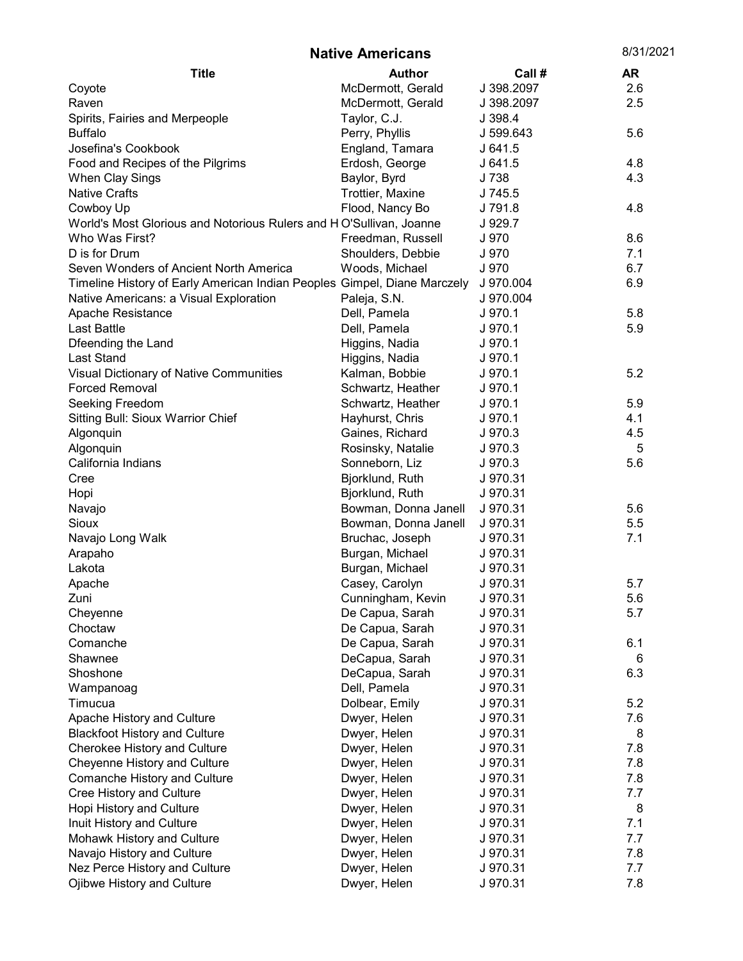| <b>Native Americans</b>                                                  |                      | 8/31/2021  |     |
|--------------------------------------------------------------------------|----------------------|------------|-----|
| <b>Title</b>                                                             | <b>Author</b>        | Call #     | AR  |
| Coyote                                                                   | McDermott, Gerald    | J 398.2097 | 2.6 |
| Raven                                                                    | McDermott, Gerald    | J 398.2097 | 2.5 |
| Spirits, Fairies and Merpeople                                           | Taylor, C.J.         | J 398.4    |     |
| <b>Buffalo</b>                                                           | Perry, Phyllis       | J 599.643  | 5.6 |
| Josefina's Cookbook                                                      | England, Tamara      | J641.5     |     |
| Food and Recipes of the Pilgrims                                         | Erdosh, George       | J641.5     | 4.8 |
| When Clay Sings                                                          | Baylor, Byrd         | J 738      | 4.3 |
| <b>Native Crafts</b>                                                     | Trottier, Maxine     | J 745.5    |     |
| Cowboy Up                                                                | Flood, Nancy Bo      | J 791.8    | 4.8 |
| World's Most Glorious and Notorious Rulers and HO'Sullivan, Joanne       |                      | J 929.7    |     |
| Who Was First?                                                           | Freedman, Russell    | J 970      | 8.6 |
| D is for Drum                                                            | Shoulders, Debbie    | J 970      | 7.1 |
| Seven Wonders of Ancient North America                                   | Woods, Michael       | J 970      | 6.7 |
| Timeline History of Early American Indian Peoples Gimpel, Diane Marczely |                      | J 970.004  | 6.9 |
| Native Americans: a Visual Exploration                                   | Paleja, S.N.         | J 970.004  |     |
| Apache Resistance                                                        | Dell, Pamela         | J 970.1    | 5.8 |
| <b>Last Battle</b>                                                       | Dell, Pamela         | J 970.1    | 5.9 |
| Dfeending the Land                                                       | Higgins, Nadia       | J 970.1    |     |
| Last Stand                                                               | Higgins, Nadia       | J 970.1    |     |
| Visual Dictionary of Native Communities                                  | Kalman, Bobbie       | J 970.1    | 5.2 |
| <b>Forced Removal</b>                                                    | Schwartz, Heather    | J 970.1    |     |
| Seeking Freedom                                                          | Schwartz, Heather    | J 970.1    | 5.9 |
| Sitting Bull: Sioux Warrior Chief                                        | Hayhurst, Chris      | J 970.1    | 4.1 |
| Algonquin                                                                | Gaines, Richard      | J 970.3    | 4.5 |
| Algonquin                                                                | Rosinsky, Natalie    | J 970.3    | 5   |
| California Indians                                                       | Sonneborn, Liz       | J 970.3    | 5.6 |
| Cree                                                                     | Bjorklund, Ruth      | J 970.31   |     |
| Hopi                                                                     | Bjorklund, Ruth      | J 970.31   |     |
| Navajo                                                                   | Bowman, Donna Janell | J 970.31   | 5.6 |
| Sioux                                                                    | Bowman, Donna Janell | J 970.31   | 5.5 |
| Navajo Long Walk                                                         | Bruchac, Joseph      | J 970.31   | 7.1 |
| Arapaho                                                                  | Burgan, Michael      | J 970.31   |     |
| Lakota                                                                   | Burgan, Michael      | J 970.31   |     |
| Apache                                                                   | Casey, Carolyn       | J 970.31   | 5.7 |
| Zuni                                                                     | Cunningham, Kevin    | J 970.31   | 5.6 |
| Cheyenne                                                                 | De Capua, Sarah      | J 970.31   | 5.7 |
| Choctaw                                                                  | De Capua, Sarah      | J 970.31   |     |
| Comanche                                                                 | De Capua, Sarah      | J 970.31   | 6.1 |
| Shawnee                                                                  | DeCapua, Sarah       | J 970.31   | 6   |
| Shoshone                                                                 | DeCapua, Sarah       | J 970.31   | 6.3 |
| Wampanoag                                                                | Dell, Pamela         | J 970.31   |     |
| Timucua                                                                  | Dolbear, Emily       | J 970.31   | 5.2 |
| Apache History and Culture                                               | Dwyer, Helen         | J 970.31   | 7.6 |
| <b>Blackfoot History and Culture</b>                                     | Dwyer, Helen         | J 970.31   | 8   |
| Cherokee History and Culture                                             | Dwyer, Helen         | J 970.31   | 7.8 |
| Cheyenne History and Culture                                             | Dwyer, Helen         | J 970.31   | 7.8 |
| Comanche History and Culture                                             | Dwyer, Helen         | J 970.31   | 7.8 |
| Cree History and Culture                                                 | Dwyer, Helen         | J 970.31   | 7.7 |
| Hopi History and Culture                                                 | Dwyer, Helen         | J 970.31   | 8   |
| Inuit History and Culture                                                | Dwyer, Helen         | J 970.31   | 7.1 |
| Mohawk History and Culture                                               | Dwyer, Helen         | J 970.31   | 7.7 |
| Navajo History and Culture                                               | Dwyer, Helen         | J 970.31   | 7.8 |
| Nez Perce History and Culture                                            | Dwyer, Helen         | J 970.31   | 7.7 |
| Ojibwe History and Culture                                               | Dwyer, Helen         | J 970.31   | 7.8 |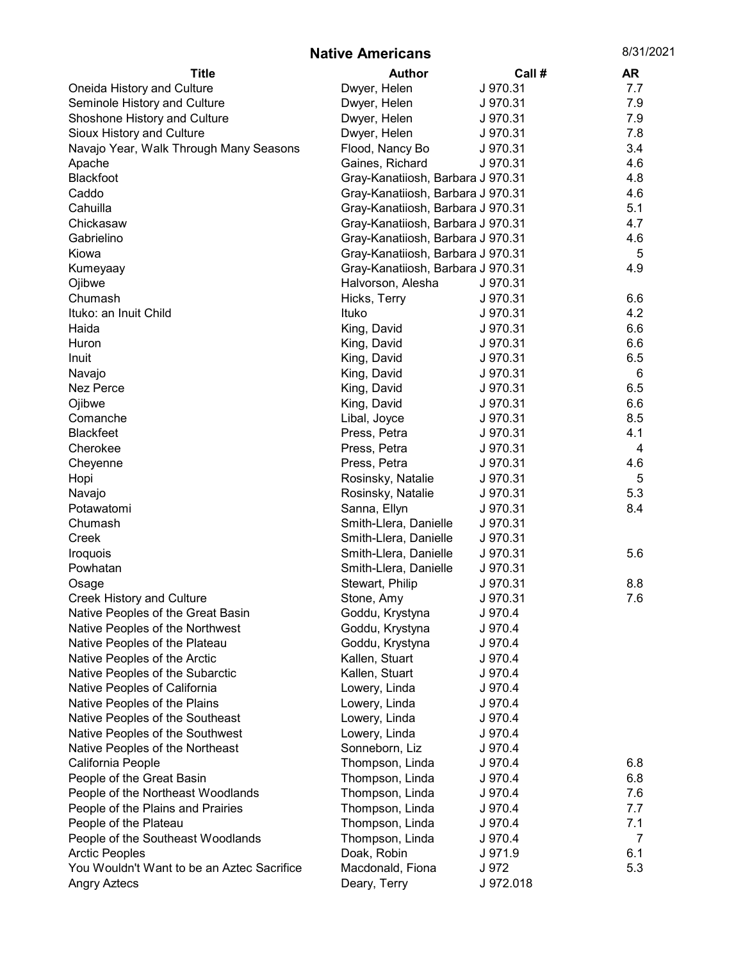Native Americans 8/31/2021

| <b>Title</b>                               | <b>Author</b>                     | Call #    | AR  |
|--------------------------------------------|-----------------------------------|-----------|-----|
| Oneida History and Culture                 | Dwyer, Helen                      | J 970.31  | 7.7 |
| Seminole History and Culture               | Dwyer, Helen                      | J 970.31  | 7.9 |
| Shoshone History and Culture               | Dwyer, Helen                      | J 970.31  | 7.9 |
| Sioux History and Culture                  | Dwyer, Helen                      | J 970.31  | 7.8 |
| Navajo Year, Walk Through Many Seasons     | Flood, Nancy Bo                   | J 970.31  | 3.4 |
| Apache                                     | Gaines, Richard                   | J 970.31  | 4.6 |
| Blackfoot                                  | Gray-Kanatiiosh, Barbara J 970.31 |           | 4.8 |
| Caddo                                      | Gray-Kanatiiosh, Barbara J 970.31 |           | 4.6 |
| Cahuilla                                   | Gray-Kanatiiosh, Barbara J 970.31 |           | 5.1 |
| Chickasaw                                  | Gray-Kanatiiosh, Barbara J 970.31 |           | 4.7 |
| Gabrielino                                 | Gray-Kanatiiosh, Barbara J 970.31 |           | 4.6 |
| Kiowa                                      | Gray-Kanatiiosh, Barbara J 970.31 |           | 5   |
| Kumeyaay                                   | Gray-Kanatiiosh, Barbara J 970.31 |           | 4.9 |
| Ojibwe                                     | Halvorson, Alesha                 | J 970.31  |     |
| Chumash                                    | Hicks, Terry                      | J 970.31  | 6.6 |
| Ituko: an Inuit Child                      | Ituko                             | J 970.31  | 4.2 |
| Haida                                      | King, David                       | J 970.31  | 6.6 |
| Huron                                      | King, David                       | J 970.31  | 6.6 |
| Inuit                                      | King, David                       | J 970.31  | 6.5 |
| Navajo                                     | King, David                       | J 970.31  | 6   |
| Nez Perce                                  | King, David                       | J 970.31  | 6.5 |
| Ojibwe                                     | King, David                       | J 970.31  | 6.6 |
| Comanche                                   | Libal, Joyce                      | J 970.31  | 8.5 |
| <b>Blackfeet</b>                           | Press, Petra                      | J 970.31  | 4.1 |
| Cherokee                                   | Press, Petra                      | J 970.31  | 4   |
| Cheyenne                                   | Press, Petra                      | J 970.31  | 4.6 |
| Hopi                                       | Rosinsky, Natalie                 | J 970.31  | 5   |
| Navajo                                     | Rosinsky, Natalie                 | J 970.31  | 5.3 |
| Potawatomi                                 | Sanna, Ellyn                      | J 970.31  | 8.4 |
| Chumash                                    | Smith-Llera, Danielle             | J 970.31  |     |
| Creek                                      | Smith-Llera, Danielle             | J 970.31  |     |
| Iroquois                                   | Smith-Llera, Danielle             | J 970.31  | 5.6 |
| Powhatan                                   | Smith-Llera, Danielle             | J 970.31  |     |
| Osage                                      | Stewart, Philip                   | J 970.31  | 8.8 |
| <b>Creek History and Culture</b>           | Stone, Amy                        | J 970.31  | 7.6 |
| Native Peoples of the Great Basin          | Goddu, Krystyna                   | J 970.4   |     |
| Native Peoples of the Northwest            | Goddu, Krystyna                   | J 970.4   |     |
| Native Peoples of the Plateau              | Goddu, Krystyna                   | J 970.4   |     |
| Native Peoples of the Arctic               | Kallen, Stuart                    | J 970.4   |     |
| Native Peoples of the Subarctic            | Kallen, Stuart                    | J 970.4   |     |
| Native Peoples of California               | Lowery, Linda                     | J 970.4   |     |
| Native Peoples of the Plains               | Lowery, Linda                     | J 970.4   |     |
| Native Peoples of the Southeast            | Lowery, Linda                     | J 970.4   |     |
| Native Peoples of the Southwest            | Lowery, Linda                     | J 970.4   |     |
| Native Peoples of the Northeast            | Sonneborn, Liz                    | J 970.4   |     |
| California People                          | Thompson, Linda                   | J 970.4   | 6.8 |
| People of the Great Basin                  | Thompson, Linda                   | J 970.4   | 6.8 |
| People of the Northeast Woodlands          | Thompson, Linda                   | J 970.4   | 7.6 |
| People of the Plains and Prairies          | Thompson, Linda                   | J 970.4   | 7.7 |
| People of the Plateau                      | Thompson, Linda                   | J 970.4   | 7.1 |
| People of the Southeast Woodlands          | Thompson, Linda                   | J 970.4   | 7   |
| <b>Arctic Peoples</b>                      | Doak, Robin                       | J 971.9   | 6.1 |
| You Wouldn't Want to be an Aztec Sacrifice | Macdonald, Fiona                  | J 972     | 5.3 |
| <b>Angry Aztecs</b>                        | Deary, Terry                      | J 972.018 |     |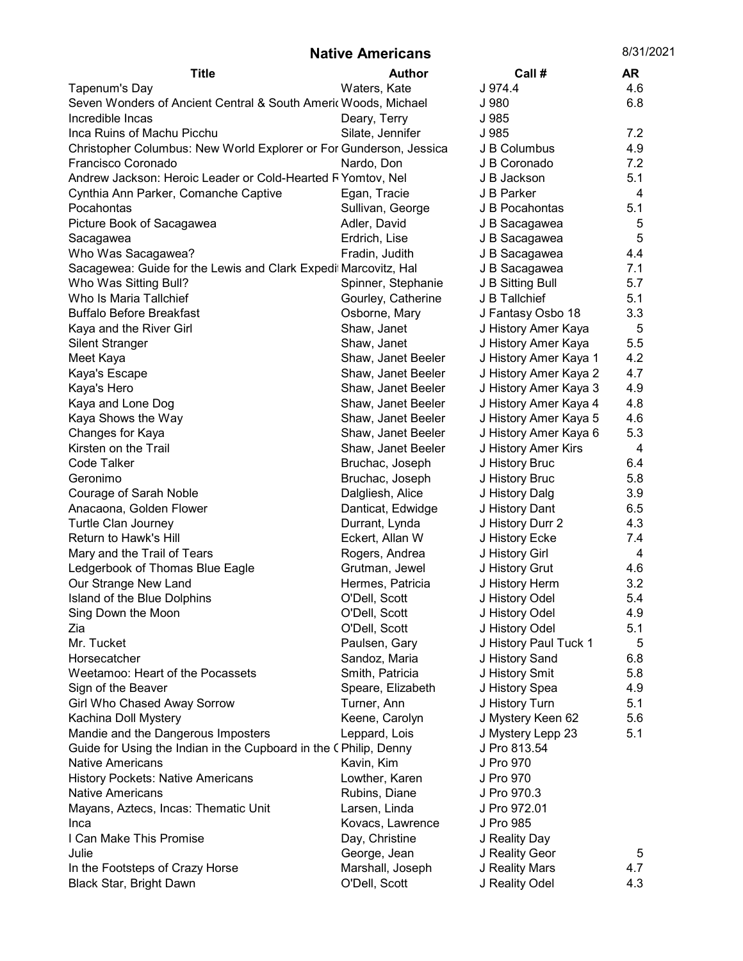## Native Americans 8/31/2021

| <b>Title</b>                                                       | <b>Author</b>                    | Call#                            | AR         |
|--------------------------------------------------------------------|----------------------------------|----------------------------------|------------|
| Tapenum's Day                                                      | Waters, Kate                     | J 974.4                          | 4.6        |
| Seven Wonders of Ancient Central & South Americ Woods, Michael     |                                  | J 980                            | 6.8        |
| Incredible Incas                                                   | Deary, Terry                     | J 985                            |            |
| Inca Ruins of Machu Picchu                                         | Silate, Jennifer                 | J 985                            | 7.2        |
| Christopher Columbus: New World Explorer or For Gunderson, Jessica |                                  | J B Columbus                     | 4.9        |
| Francisco Coronado                                                 | Nardo, Don                       | J B Coronado                     | 7.2        |
| Andrew Jackson: Heroic Leader or Cold-Hearted F Yomtov, Nel        |                                  | J B Jackson                      | 5.1        |
| Cynthia Ann Parker, Comanche Captive                               | Egan, Tracie                     | J B Parker                       | 4          |
| Pocahontas                                                         | Sullivan, George                 | J B Pocahontas                   | 5.1        |
| Picture Book of Sacagawea                                          | Adler, David                     | J B Sacagawea                    | 5          |
| Sacagawea                                                          | Erdrich, Lise                    | J B Sacagawea                    | 5          |
| Who Was Sacagawea?                                                 | Fradin, Judith                   | J B Sacagawea                    | 4.4        |
| Sacagewea: Guide for the Lewis and Clark Expedit Marcovitz, Hal    |                                  | J B Sacagawea                    | 7.1        |
| Who Was Sitting Bull?                                              | Spinner, Stephanie               | J B Sitting Bull                 | 5.7        |
| Who Is Maria Tallchief                                             | Gourley, Catherine               | J B Tallchief                    | 5.1        |
| <b>Buffalo Before Breakfast</b>                                    | Osborne, Mary                    | J Fantasy Osbo 18                | 3.3        |
| Kaya and the River Girl                                            | Shaw, Janet                      | J History Amer Kaya              | 5          |
| <b>Silent Stranger</b>                                             | Shaw, Janet                      | J History Amer Kaya              | 5.5        |
| Meet Kaya                                                          | Shaw, Janet Beeler               | J History Amer Kaya 1            | 4.2        |
| Kaya's Escape                                                      | Shaw, Janet Beeler               | J History Amer Kaya 2            | 4.7        |
| Kaya's Hero                                                        | Shaw, Janet Beeler               | J History Amer Kaya 3            | 4.9        |
| Kaya and Lone Dog                                                  | Shaw, Janet Beeler               | J History Amer Kaya 4            | 4.8        |
| Kaya Shows the Way                                                 | Shaw, Janet Beeler               | J History Amer Kaya 5            | 4.6        |
| Changes for Kaya                                                   | Shaw, Janet Beeler               | J History Amer Kaya 6            | 5.3        |
| Kirsten on the Trail                                               | Shaw, Janet Beeler               | J History Amer Kirs              | 4          |
| Code Talker                                                        | Bruchac, Joseph                  | J History Bruc                   | 6.4        |
| Geronimo                                                           | Bruchac, Joseph                  | J History Bruc                   | 5.8        |
| Courage of Sarah Noble                                             | Dalgliesh, Alice                 | J History Dalg                   | 3.9        |
| Anacaona, Golden Flower                                            | Danticat, Edwidge                | J History Dant                   | 6.5        |
| <b>Turtle Clan Journey</b>                                         | Durrant, Lynda                   | J History Durr 2                 | 4.3        |
| Return to Hawk's Hill                                              | Eckert, Allan W                  | J History Ecke                   | 7.4        |
| Mary and the Trail of Tears                                        | Rogers, Andrea                   | J History Girl                   | 4          |
| Ledgerbook of Thomas Blue Eagle                                    | Grutman, Jewel                   | J History Grut                   | 4.6        |
| Our Strange New Land                                               | Hermes, Patricia                 | J History Herm                   | 3.2        |
| Island of the Blue Dolphins                                        | O'Dell, Scott                    | J History Odel                   | 5.4        |
| Sing Down the Moon                                                 | O'Dell, Scott                    | J History Odel                   | 4.9        |
| Zia                                                                | O'Dell, Scott                    | J History Odel                   | 5.1        |
| Mr. Tucket                                                         | Paulsen, Gary                    | J History Paul Tuck 1            | 5          |
| Horsecatcher                                                       | Sandoz, Maria                    | J History Sand                   | 6.8        |
| Weetamoo: Heart of the Pocassets<br>Sign of the Beaver             | Smith, Patricia                  | J History Smit<br>J History Spea | 5.8        |
| Girl Who Chased Away Sorrow                                        | Speare, Elizabeth<br>Turner, Ann | J History Turn                   | 4.9<br>5.1 |
| Kachina Doll Mystery                                               | Keene, Carolyn                   | J Mystery Keen 62                | 5.6        |
| Mandie and the Dangerous Imposters                                 | Leppard, Lois                    | J Mystery Lepp 23                | 5.1        |
| Guide for Using the Indian in the Cupboard in the CPhilip, Denny   |                                  | J Pro 813.54                     |            |
| <b>Native Americans</b>                                            | Kavin, Kim                       | J Pro 970                        |            |
| <b>History Pockets: Native Americans</b>                           | Lowther, Karen                   | J Pro 970                        |            |
| <b>Native Americans</b>                                            | Rubins, Diane                    | J Pro 970.3                      |            |
| Mayans, Aztecs, Incas: Thematic Unit                               | Larsen, Linda                    | J Pro 972.01                     |            |
| Inca                                                               | Kovacs, Lawrence                 | J Pro 985                        |            |
| I Can Make This Promise                                            | Day, Christine                   | J Reality Day                    |            |
| Julie                                                              | George, Jean                     | J Reality Geor                   | 5          |
| In the Footsteps of Crazy Horse                                    | Marshall, Joseph                 | J Reality Mars                   | 4.7        |
| Black Star, Bright Dawn                                            | O'Dell, Scott                    | J Reality Odel                   | 4.3        |